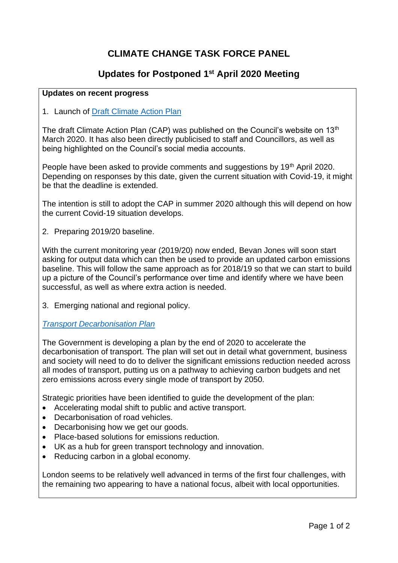# **CLIMATE CHANGE TASK FORCE PANEL**

## **Updates for Postponed 1 st April 2020 Meeting**

#### **Updates on recent progress**

#### 1. Launch of [Draft Climate Action Plan](https://new.enfield.gov.uk/services/environment/enfield-draft-cap-2020-environment.pdf)

The draft Climate Action Plan (CAP) was published on the Council's website on 13<sup>th</sup> March 2020. It has also been directly publicised to staff and Councillors, as well as being highlighted on the Council's social media accounts.

People have been asked to provide comments and suggestions by 19<sup>th</sup> April 2020. Depending on responses by this date, given the current situation with Covid-19, it might be that the deadline is extended.

The intention is still to adopt the CAP in summer 2020 although this will depend on how the current Covid-19 situation develops.

2. Preparing 2019/20 baseline.

With the current monitoring year (2019/20) now ended, Bevan Jones will soon start asking for output data which can then be used to provide an updated carbon emissions baseline. This will follow the same approach as for 2018/19 so that we can start to build up a picture of the Council's performance over time and identify where we have been successful, as well as where extra action is needed.

3. Emerging national and regional policy.

#### *[Transport Decarbonisation Plan](https://assets.publishing.service.gov.uk/government/uploads/system/uploads/attachment_data/file/876251/decarbonising-transport-setting-the-challenge.pdf)*

The Government is developing a plan by the end of 2020 to accelerate the decarbonisation of transport. The plan will set out in detail what government, business and society will need to do to deliver the significant emissions reduction needed across all modes of transport, putting us on a pathway to achieving carbon budgets and net zero emissions across every single mode of transport by 2050.

Strategic priorities have been identified to guide the development of the plan:

- Accelerating modal shift to public and active transport.
- Decarbonisation of road vehicles.
- Decarbonising how we get our goods.
- Place-based solutions for emissions reduction.
- UK as a hub for green transport technology and innovation.
- Reducing carbon in a global economy.

London seems to be relatively well advanced in terms of the first four challenges, with the remaining two appearing to have a national focus, albeit with local opportunities.